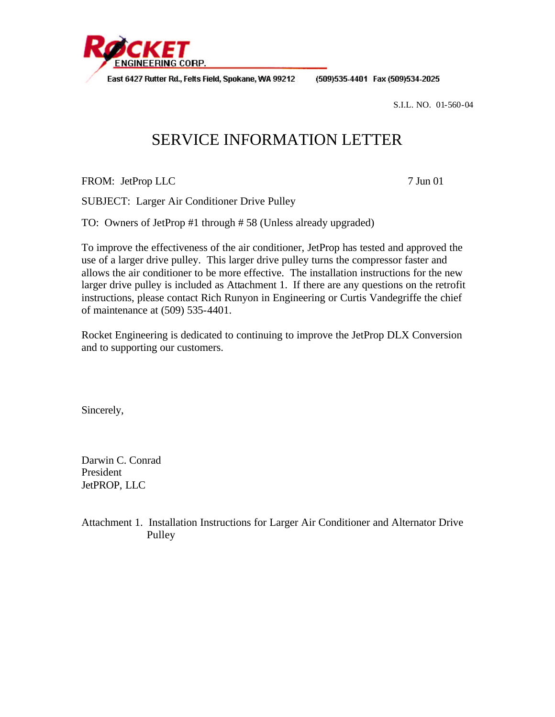

East 6427 Rutter Rd., Felts Field, Spokane, WA 99212

(509)535-4401 Fax (509)534-2025

S.I.L. NO. 01-560-04

## SERVICE INFORMATION LETTER

FROM: JetProp LLC 7 Jun 01

SUBJECT: Larger Air Conditioner Drive Pulley

TO: Owners of JetProp #1 through # 58 (Unless already upgraded)

To improve the effectiveness of the air conditioner, JetProp has tested and approved the use of a larger drive pulley. This larger drive pulley turns the compressor faster and allows the air conditioner to be more effective. The installation instructions for the new larger drive pulley is included as Attachment 1. If there are any questions on the retrofit instructions, please contact Rich Runyon in Engineering or Curtis Vandegriffe the chief of maintenance at (509) 535-4401.

Rocket Engineering is dedicated to continuing to improve the JetProp DLX Conversion and to supporting our customers.

Sincerely,

Darwin C. Conrad President JetPROP, LLC

Attachment 1. Installation Instructions for Larger Air Conditioner and Alternator Drive Pulley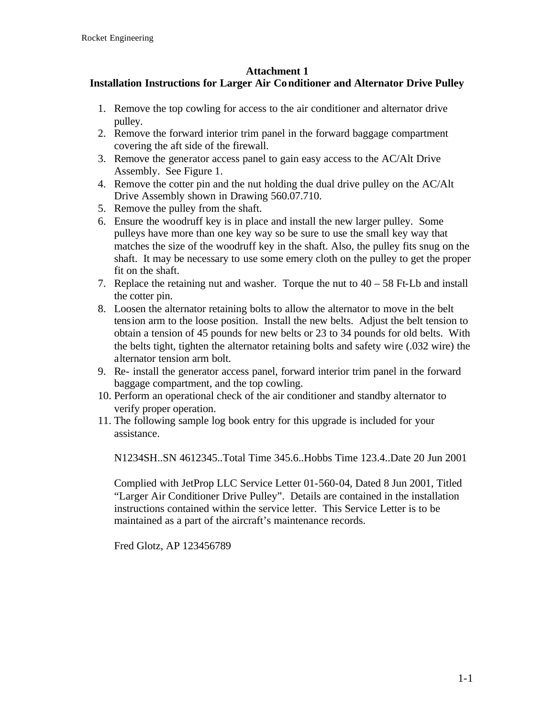## **Attachment 1**

## **Installation Instructions for Larger Air Conditioner and Alternator Drive Pulley**

- 1. Remove the top cowling for access to the air conditioner and alternator drive pulley.
- 2. Remove the forward interior trim panel in the forward baggage compartment covering the aft side of the firewall.
- 3. Remove the generator access panel to gain easy access to the AC/Alt Drive Assembly. See Figure 1.
- 4. Remove the cotter pin and the nut holding the dual drive pulley on the AC/Alt Drive Assembly shown in Drawing 560.07.710.
- 5. Remove the pulley from the shaft.
- 6. Ensure the woodruff key is in place and install the new larger pulley. Some pulleys have more than one key way so be sure to use the small key way that matches the size of the woodruff key in the shaft. Also, the pulley fits snug on the shaft. It may be necessary to use some emery cloth on the pulley to get the proper fit on the shaft.
- 7. Replace the retaining nut and washer. Torque the nut to  $40 58$  Ft-Lb and install the cotter pin.
- 8. Loosen the alternator retaining bolts to allow the alternator to move in the belt tension arm to the loose position. Install the new belts. Adjust the belt tension to obtain a tension of 45 pounds for new belts or 23 to 34 pounds for old belts. With the belts tight, tighten the alternator retaining bolts and safety wire (.032 wire) the alternator tension arm bolt.
- 9. Re- install the generator access panel, forward interior trim panel in the forward baggage compartment, and the top cowling.
- 10. Perform an operational check of the air conditioner and standby alternator to verify proper operation.
- 11. The following sample log book entry for this upgrade is included for your assistance.

N1234SH..SN 4612345..Total Time 345.6..Hobbs Time 123.4..Date 20 Jun 2001

Complied with JetProp LLC Service Letter 01-560-04, Dated 8 Jun 2001, Titled "Larger Air Conditioner Drive Pulley". Details are contained in the installation instructions contained within the service letter. This Service Letter is to be maintained as a part of the aircraft's maintenance records.

Fred Glotz, AP 123456789